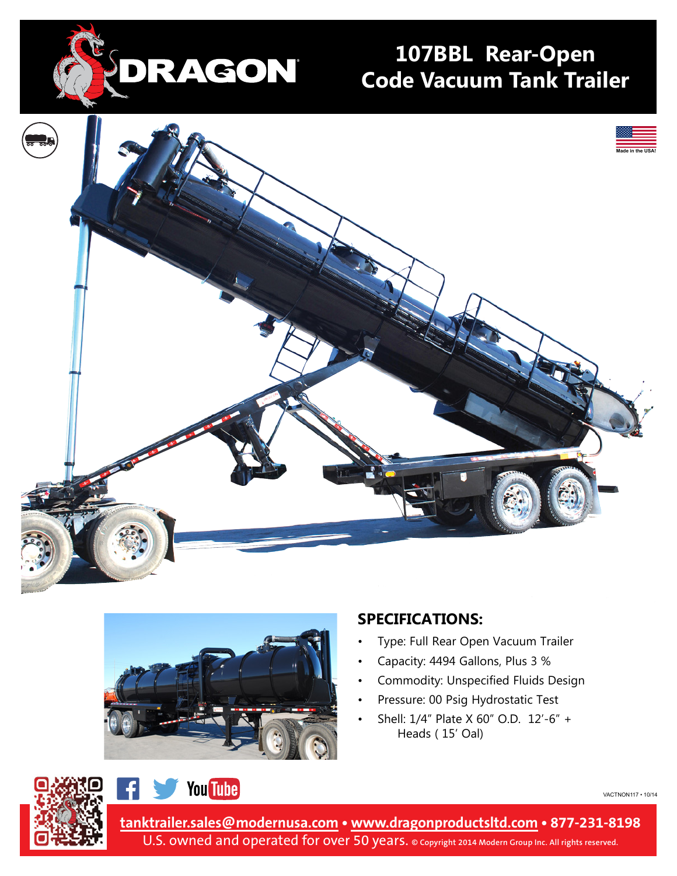

## **107bbl Rear-Open Code Vacuum Tank Trailer**





## **Specifications:**

- Type: Full Rear Open Vacuum Trailer
- Capacity: 4494 Gallons, Plus 3 %
- Commodity: Unspecified Fluids Design
- Pressure: 00 Psig Hydrostatic Test
- Shell: 1/4" Plate X 60" O.D. 12'-6" + Heads ( 15' Oal)





**tanktrailer.sale[s@modernusa.com](mailto:tanktrailer.sales%40modernusa.com?subject=I%20need%20more%20information%20on%20LPG%20Transport.) • [www.dragonproductsltd.com](http://www.dragonproductsltd.com) • 877-231-8198** U.S. owned and operated for over 50 years. © Copyright 2014 Modern Group Inc. All rights reserved.

vactnon117 • 10/14